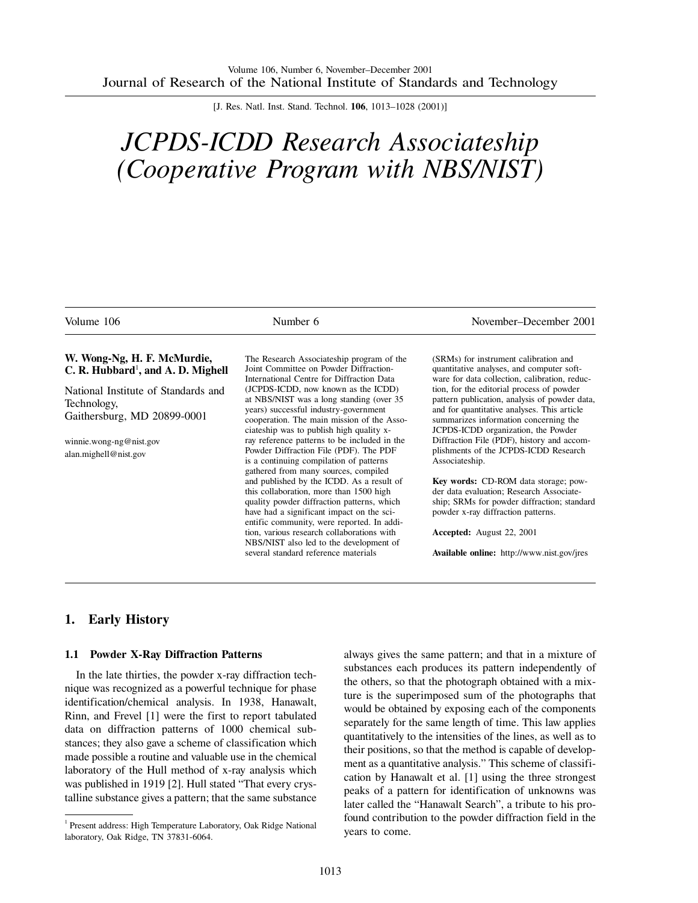[J. Res. Natl. Inst. Stand. Technol. **106**, 1013–1028 (2001)]

# *JCPDS-ICDD Research Associateship (Cooperative Program with NBS/NIST)*

| Volume 106                                                                        | Number 6                                                                                                                                                                                                                      | November–December 2001                                                                                                                                                             |
|-----------------------------------------------------------------------------------|-------------------------------------------------------------------------------------------------------------------------------------------------------------------------------------------------------------------------------|------------------------------------------------------------------------------------------------------------------------------------------------------------------------------------|
| W. Wong-Ng, H. F. McMurdie,<br>C. R. Hubbard <sup>1</sup> , and A. D. Mighell     | The Research Associateship program of the<br>Joint Committee on Powder Diffraction-<br>International Centre for Diffraction Data                                                                                              | (SRMs) for instrument calibration and<br>quantitative analyses, and computer soft-<br>ware for data collection, calibration, reduc-                                                |
| National Institute of Standards and<br>Technology,<br>Gaithersburg, MD 20899-0001 | (JCPDS-ICDD, now known as the ICDD)<br>at NBS/NIST was a long standing (over 35)<br>years) successful industry-government<br>cooperation. The main mission of the Asso-                                                       | tion, for the editorial process of powder<br>pattern publication, analysis of powder data,<br>and for quantitative analyses. This article<br>summarizes information concerning the |
| winnie.wong-ng@nist.gov<br>alan.mighell@nist.gov                                  | ciateship was to publish high quality x-<br>ray reference patterns to be included in the<br>Powder Diffraction File (PDF). The PDF<br>is a continuing compilation of patterns<br>gathered from many sources, compiled         | JCPDS-ICDD organization, the Powder<br>Diffraction File (PDF), history and accom-<br>plishments of the JCPDS-ICDD Research<br>Associateship.                                       |
|                                                                                   | and published by the ICDD. As a result of<br>this collaboration, more than 1500 high<br>quality powder diffraction patterns, which<br>have had a significant impact on the sci-<br>entific community, were reported. In addi- | Key words: CD-ROM data storage; pow-<br>der data evaluation; Research Associate-<br>ship; SRMs for powder diffraction; standard<br>powder x-ray diffraction patterns.              |
|                                                                                   | tion, various research collaborations with<br>NBS/NIST also led to the development of<br>several standard reference materials                                                                                                 | Accepted: August 22, 2001<br>Available online: http://www.nist.gov/jres                                                                                                            |

# **1. Early History**

#### **1.1 Powder X-Ray Diffraction Patterns**

In the late thirties, the powder x-ray diffraction technique was recognized as a powerful technique for phase identification/chemical analysis. In 1938, Hanawalt, Rinn, and Frevel [1] were the first to report tabulated data on diffraction patterns of 1000 chemical substances; they also gave a scheme of classification which made possible a routine and valuable use in the chemical laboratory of the Hull method of x-ray analysis which was published in 1919 [2]. Hull stated "That every crystalline substance gives a pattern; that the same substance always gives the same pattern; and that in a mixture of substances each produces its pattern independently of the others, so that the photograph obtained with a mixture is the superimposed sum of the photographs that would be obtained by exposing each of the components separately for the same length of time. This law applies quantitatively to the intensities of the lines, as well as to their positions, so that the method is capable of development as a quantitative analysis." This scheme of classification by Hanawalt et al. [1] using the three strongest peaks of a pattern for identification of unknowns was later called the "Hanawalt Search", a tribute to his profound contribution to the powder diffraction field in the years to come.

<sup>&</sup>lt;sup>1</sup> Present address: High Temperature Laboratory, Oak Ridge National laboratory, Oak Ridge, TN 37831-6064.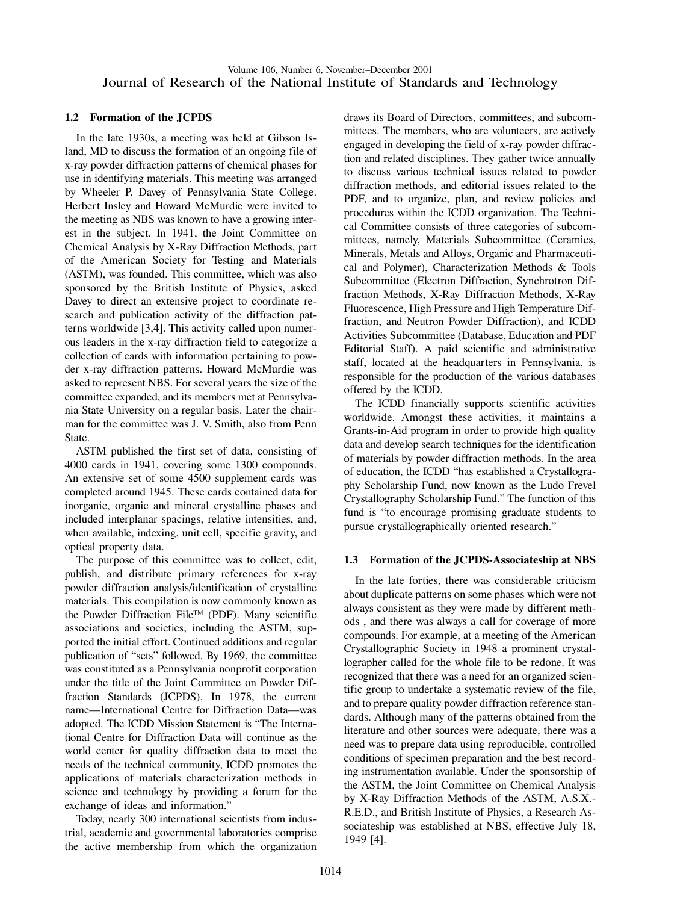#### **1.2 Formation of the JCPDS**

In the late 1930s, a meeting was held at Gibson Island, MD to discuss the formation of an ongoing file of x-ray powder diffraction patterns of chemical phases for use in identifying materials. This meeting was arranged by Wheeler P. Davey of Pennsylvania State College. Herbert Insley and Howard McMurdie were invited to the meeting as NBS was known to have a growing interest in the subject. In 1941, the Joint Committee on Chemical Analysis by X-Ray Diffraction Methods, part of the American Society for Testing and Materials (ASTM), was founded. This committee, which was also sponsored by the British Institute of Physics, asked Davey to direct an extensive project to coordinate research and publication activity of the diffraction patterns worldwide [3,4]. This activity called upon numerous leaders in the x-ray diffraction field to categorize a collection of cards with information pertaining to powder x-ray diffraction patterns. Howard McMurdie was asked to represent NBS. For several years the size of the committee expanded, and its members met at Pennsylvania State University on a regular basis. Later the chairman for the committee was J. V. Smith, also from Penn State.

ASTM published the first set of data, consisting of 4000 cards in 1941, covering some 1300 compounds. An extensive set of some 4500 supplement cards was completed around 1945. These cards contained data for inorganic, organic and mineral crystalline phases and included interplanar spacings, relative intensities, and, when available, indexing, unit cell, specific gravity, and optical property data.

The purpose of this committee was to collect, edit, publish, and distribute primary references for x-ray powder diffraction analysis/identification of crystalline materials. This compilation is now commonly known as the Powder Diffraction File<sup>TM</sup> (PDF). Many scientific associations and societies, including the ASTM, supported the initial effort. Continued additions and regular publication of "sets" followed. By 1969, the committee was constituted as a Pennsylvania nonprofit corporation under the title of the Joint Committee on Powder Diffraction Standards (JCPDS). In 1978, the current name—International Centre for Diffraction Data—was adopted. The ICDD Mission Statement is "The International Centre for Diffraction Data will continue as the world center for quality diffraction data to meet the needs of the technical community, ICDD promotes the applications of materials characterization methods in science and technology by providing a forum for the exchange of ideas and information."

Today, nearly 300 international scientists from industrial, academic and governmental laboratories comprise the active membership from which the organization draws its Board of Directors, committees, and subcommittees. The members, who are volunteers, are actively engaged in developing the field of x-ray powder diffraction and related disciplines. They gather twice annually to discuss various technical issues related to powder diffraction methods, and editorial issues related to the PDF, and to organize, plan, and review policies and procedures within the ICDD organization. The Technical Committee consists of three categories of subcommittees, namely, Materials Subcommittee (Ceramics, Minerals, Metals and Alloys, Organic and Pharmaceutical and Polymer), Characterization Methods & Tools Subcommittee (Electron Diffraction, Synchrotron Diffraction Methods, X-Ray Diffraction Methods, X-Ray Fluorescence, High Pressure and High Temperature Diffraction, and Neutron Powder Diffraction), and ICDD Activities Subcommittee (Database, Education and PDF Editorial Staff). A paid scientific and administrative staff, located at the headquarters in Pennsylvania, is responsible for the production of the various databases offered by the ICDD.

The ICDD financially supports scientific activities worldwide. Amongst these activities, it maintains a Grants-in-Aid program in order to provide high quality data and develop search techniques for the identification of materials by powder diffraction methods. In the area of education, the ICDD "has established a Crystallography Scholarship Fund, now known as the Ludo Frevel Crystallography Scholarship Fund." The function of this fund is "to encourage promising graduate students to pursue crystallographically oriented research."

#### **1.3 Formation of the JCPDS-Associateship at NBS**

In the late forties, there was considerable criticism about duplicate patterns on some phases which were not always consistent as they were made by different methods , and there was always a call for coverage of more compounds. For example, at a meeting of the American Crystallographic Society in 1948 a prominent crystallographer called for the whole file to be redone. It was recognized that there was a need for an organized scientific group to undertake a systematic review of the file, and to prepare quality powder diffraction reference standards. Although many of the patterns obtained from the literature and other sources were adequate, there was a need was to prepare data using reproducible, controlled conditions of specimen preparation and the best recording instrumentation available. Under the sponsorship of the ASTM, the Joint Committee on Chemical Analysis by X-Ray Diffraction Methods of the ASTM, A.S.X.- R.E.D., and British Institute of Physics, a Research Associateship was established at NBS, effective July 18, 1949 [4].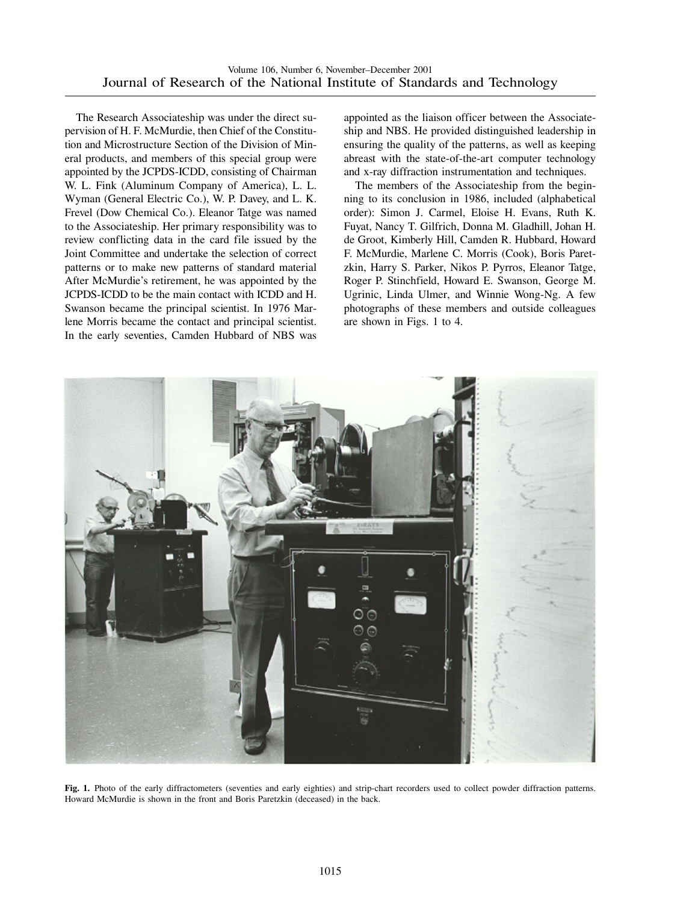The Research Associateship was under the direct supervision of H. F. McMurdie, then Chief of the Constitution and Microstructure Section of the Division of Mineral products, and members of this special group were appointed by the JCPDS-ICDD, consisting of Chairman W. L. Fink (Aluminum Company of America), L. L. Wyman (General Electric Co.), W. P. Davey, and L. K. Frevel (Dow Chemical Co.). Eleanor Tatge was named to the Associateship. Her primary responsibility was to review conflicting data in the card file issued by the Joint Committee and undertake the selection of correct patterns or to make new patterns of standard material After McMurdie's retirement, he was appointed by the JCPDS-ICDD to be the main contact with ICDD and H. Swanson became the principal scientist. In 1976 Marlene Morris became the contact and principal scientist. In the early seventies, Camden Hubbard of NBS was

appointed as the liaison officer between the Associateship and NBS. He provided distinguished leadership in ensuring the quality of the patterns, as well as keeping abreast with the state-of-the-art computer technology and x-ray diffraction instrumentation and techniques.

The members of the Associateship from the beginning to its conclusion in 1986, included (alphabetical order): Simon J. Carmel, Eloise H. Evans, Ruth K. Fuyat, Nancy T. Gilfrich, Donna M. Gladhill, Johan H. de Groot, Kimberly Hill, Camden R. Hubbard, Howard F. McMurdie, Marlene C. Morris (Cook), Boris Paretzkin, Harry S. Parker, Nikos P. Pyrros, Eleanor Tatge, Roger P. Stinchfield, Howard E. Swanson, George M. Ugrinic, Linda Ulmer, and Winnie Wong-Ng. A few photographs of these members and outside colleagues are shown in Figs. 1 to 4.



**Fig. 1.** Photo of the early diffractometers (seventies and early eighties) and strip-chart recorders used to collect powder diffraction patterns. Howard McMurdie is shown in the front and Boris Paretzkin (deceased) in the back.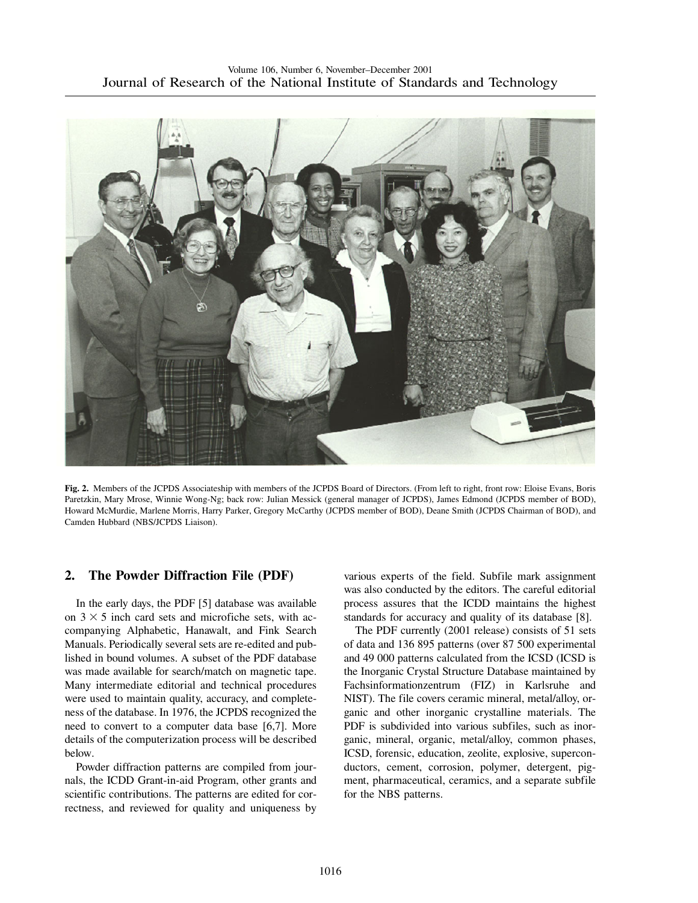

**Fig. 2.** Members of the JCPDS Associateship with members of the JCPDS Board of Directors. (From left to right, front row: Eloise Evans, Boris Paretzkin, Mary Mrose, Winnie Wong-Ng; back row: Julian Messick (general manager of JCPDS), James Edmond (JCPDS member of BOD), Howard McMurdie, Marlene Morris, Harry Parker, Gregory McCarthy (JCPDS member of BOD), Deane Smith (JCPDS Chairman of BOD), and Camden Hubbard (NBS/JCPDS Liaison).

## **2. The Powder Diffraction File (PDF)**

In the early days, the PDF [5] database was available on  $3 \times 5$  inch card sets and microfiche sets, with accompanying Alphabetic, Hanawalt, and Fink Search Manuals. Periodically several sets are re-edited and published in bound volumes. A subset of the PDF database was made available for search/match on magnetic tape. Many intermediate editorial and technical procedures were used to maintain quality, accuracy, and completeness of the database. In 1976, the JCPDS recognized the need to convert to a computer data base [6,7]. More details of the computerization process will be described below.

Powder diffraction patterns are compiled from journals, the ICDD Grant-in-aid Program, other grants and scientific contributions. The patterns are edited for correctness, and reviewed for quality and uniqueness by various experts of the field. Subfile mark assignment was also conducted by the editors. The careful editorial process assures that the ICDD maintains the highest standards for accuracy and quality of its database [8].

The PDF currently (2001 release) consists of 51 sets of data and 136 895 patterns (over 87 500 experimental and 49 000 patterns calculated from the ICSD (ICSD is the Inorganic Crystal Structure Database maintained by Fachsinformationzentrum (FIZ) in Karlsruhe and NIST). The file covers ceramic mineral, metal/alloy, organic and other inorganic crystalline materials. The PDF is subdivided into various subfiles, such as inorganic, mineral, organic, metal/alloy, common phases, ICSD, forensic, education, zeolite, explosive, superconductors, cement, corrosion, polymer, detergent, pigment, pharmaceutical, ceramics, and a separate subfile for the NBS patterns.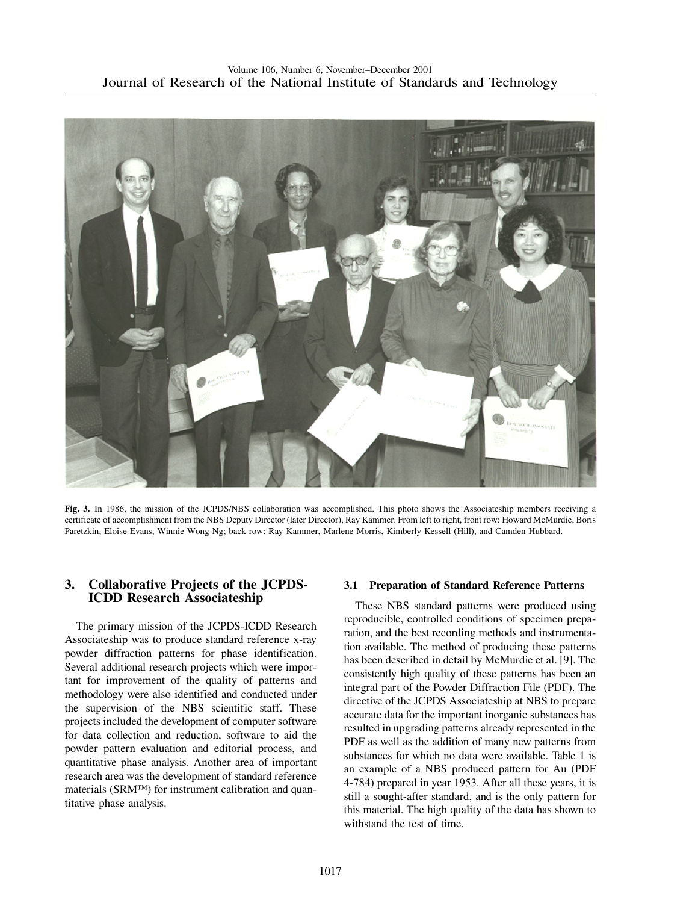

**Fig. 3.** In 1986, the mission of the JCPDS/NBS collaboration was accomplished. This photo shows the Associateship members receiving a certificate of accomplishment from the NBS Deputy Director (later Director), Ray Kammer. From left to right, front row: Howard McMurdie, Boris Paretzkin, Eloise Evans, Winnie Wong-Ng; back row: Ray Kammer, Marlene Morris, Kimberly Kessell (Hill), and Camden Hubbard.

## **3. Collaborative Projects of the JCPDS-ICDD Research Associateship**

The primary mission of the JCPDS-ICDD Research Associateship was to produce standard reference x-ray powder diffraction patterns for phase identification. Several additional research projects which were important for improvement of the quality of patterns and methodology were also identified and conducted under the supervision of the NBS scientific staff. These projects included the development of computer software for data collection and reduction, software to aid the powder pattern evaluation and editorial process, and quantitative phase analysis. Another area of important research area was the development of standard reference materials ( $SRM<sup>TM</sup>$ ) for instrument calibration and quantitative phase analysis.

#### **3.1 Preparation of Standard Reference Patterns**

These NBS standard patterns were produced using reproducible, controlled conditions of specimen preparation, and the best recording methods and instrumentation available. The method of producing these patterns has been described in detail by McMurdie et al. [9]. The consistently high quality of these patterns has been an integral part of the Powder Diffraction File (PDF). The directive of the JCPDS Associateship at NBS to prepare accurate data for the important inorganic substances has resulted in upgrading patterns already represented in the PDF as well as the addition of many new patterns from substances for which no data were available. Table 1 is an example of a NBS produced pattern for Au (PDF 4-784) prepared in year 1953. After all these years, it is still a sought-after standard, and is the only pattern for this material. The high quality of the data has shown to withstand the test of time.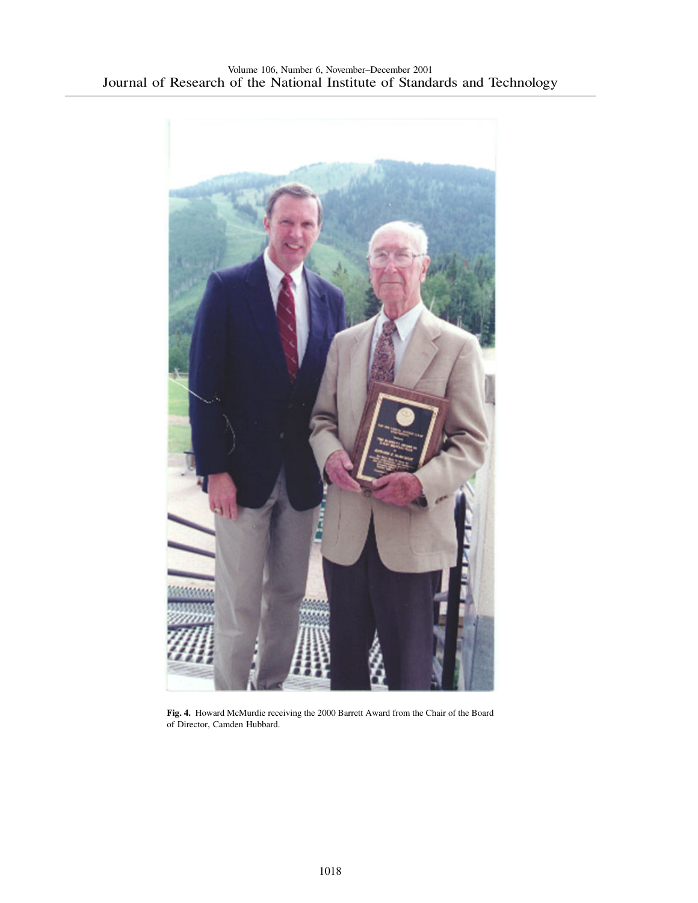

**Fig. 4.** Howard McMurdie receiving the 2000 Barrett Award from the Chair of the Board of Director, Camden Hubbard.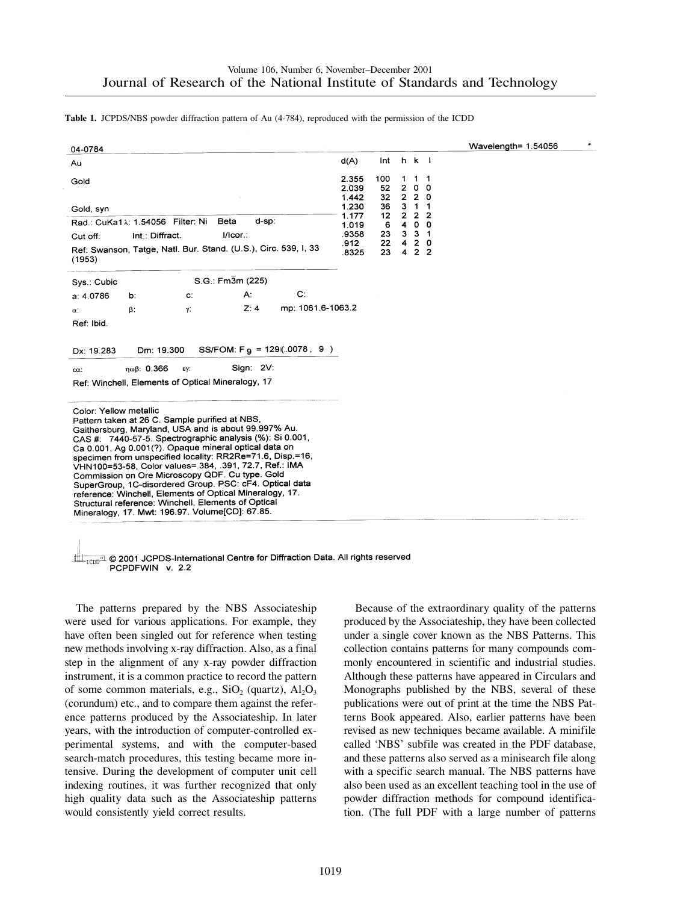**Table 1.** JCPDS/NBS powder diffraction pattern of Au (4-784), reproduced with the permission of the ICDD

| 04-0784                                                                                                                                                                                                                                                                                                                                                                                                                                                                                                                                                                                                                                                          |                                                   |                                 |                                                                                                                                |                  |                                                                                                | Wavelength= $1.54056$ |
|------------------------------------------------------------------------------------------------------------------------------------------------------------------------------------------------------------------------------------------------------------------------------------------------------------------------------------------------------------------------------------------------------------------------------------------------------------------------------------------------------------------------------------------------------------------------------------------------------------------------------------------------------------------|---------------------------------------------------|---------------------------------|--------------------------------------------------------------------------------------------------------------------------------|------------------|------------------------------------------------------------------------------------------------|-----------------------|
| Au                                                                                                                                                                                                                                                                                                                                                                                                                                                                                                                                                                                                                                                               | d(A)                                              | Int                             | $h \, k \, l$                                                                                                                  |                  |                                                                                                |                       |
| Gold                                                                                                                                                                                                                                                                                                                                                                                                                                                                                                                                                                                                                                                             | 2.355<br>2.039<br>1.442                           | 100<br>52<br>32                 | 1<br>$2^{\circ}$<br>220                                                                                                        | 1<br>$\mathbf 0$ | $\overline{1}$<br>$\mathbf 0$                                                                  |                       |
| Gold, syn<br>d-sp:<br>Rad.: CuKa1 $\lambda$ : 1.54056 Filter: Ni<br>Beta<br>Int.: Diffract.<br>I/Icor.:<br>Cut off:<br>Ref: Swanson, Tatge, Natl. Bur. Stand. (U.S.), Circ. 539, I, 33<br>(1953)                                                                                                                                                                                                                                                                                                                                                                                                                                                                 | 1.230<br>1.177<br>1.019<br>.9358<br>.912<br>.8325 | 36<br>12<br>6<br>23<br>22<br>23 | $\mathbf{3}$<br>$\overline{2}$<br>$\overline{\mathbf{4}}$<br>$3^{\circ}$<br>$\overline{\mathbf{4}}$<br>$\overline{\mathbf{4}}$ |                  | $1 \quad 1$<br>2 <sub>2</sub><br>0 <sub>0</sub><br>$3 - 1$<br>2 <sub>0</sub><br>2 <sub>2</sub> |                       |
| $S.G.: Fm\overline{3}m (225)$<br>Sys.: Cubic                                                                                                                                                                                                                                                                                                                                                                                                                                                                                                                                                                                                                     |                                                   |                                 |                                                                                                                                |                  |                                                                                                |                       |
| $\mathbf{C}$<br>А:<br>a: 4.0786<br>C.<br>b.                                                                                                                                                                                                                                                                                                                                                                                                                                                                                                                                                                                                                      |                                                   |                                 |                                                                                                                                |                  |                                                                                                |                       |
| mp: 1061.6-1063.2<br>Z:4<br>γ.<br>β.<br>$\alpha$ :<br>Ref: Ibid.                                                                                                                                                                                                                                                                                                                                                                                                                                                                                                                                                                                                 |                                                   |                                 |                                                                                                                                |                  |                                                                                                |                       |
| SS/FOM: $F_{9} = 129(.0078, 9)$<br>Dm: 19.300<br>Dx: 19.283                                                                                                                                                                                                                                                                                                                                                                                                                                                                                                                                                                                                      |                                                   |                                 |                                                                                                                                |                  |                                                                                                |                       |
| Sign: 2V:<br>ηωβ: 0.366<br>εγ:<br>εα:<br>Ref: Winchell, Elements of Optical Mineralogy, 17                                                                                                                                                                                                                                                                                                                                                                                                                                                                                                                                                                       |                                                   |                                 |                                                                                                                                |                  |                                                                                                |                       |
| Color: Yellow metallic<br>Pattern taken at 26 C. Sample purified at NBS,<br>Gaithersburg, Maryland, USA and is about 99.997% Au.<br>CAS #: 7440-57-5. Spectrographic analysis (%): Si 0.001,<br>Ca 0.001, Ag 0.001(?). Opaque mineral optical data on<br>specimen from unspecified locality: RR2Re=71.6, Disp.=16,<br>VHN100=53-58, Color values= 384, .391, 72.7, Ref.: IMA<br>Commission on Ore Microscopy QDF. Cu type. Gold<br>SuperGroup, 1C-disordered Group. PSC: cF4. Optical data<br>reference: Winchell, Elements of Optical Mineralogy, 17.<br>Structural reference: Winchell, Elements of Optical<br>Mineralogy, 17. Mwt: 196.97. Volume[CD]: 67.85. |                                                   |                                 |                                                                                                                                |                  |                                                                                                |                       |

TCDD<sup>SI</sup> © 2001 JCPDS-International Centre for Diffraction Data. All rights reserved<br>PCPDFWIN v. 2.2

The patterns prepared by the NBS Associateship were used for various applications. For example, they have often been singled out for reference when testing new methods involving x-ray diffraction. Also, as a final step in the alignment of any x-ray powder diffraction instrument, it is a common practice to record the pattern of some common materials, e.g.,  $SiO<sub>2</sub>$  (quartz),  $Al<sub>2</sub>O<sub>3</sub>$ (corundum) etc., and to compare them against the reference patterns produced by the Associateship. In later years, with the introduction of computer-controlled experimental systems, and with the computer-based search-match procedures, this testing became more intensive. During the development of computer unit cell indexing routines, it was further recognized that only high quality data such as the Associateship patterns would consistently yield correct results.

Because of the extraordinary quality of the patterns produced by the Associateship, they have been collected under a single cover known as the NBS Patterns. This collection contains patterns for many compounds commonly encountered in scientific and industrial studies. Although these patterns have appeared in Circulars and Monographs published by the NBS, several of these publications were out of print at the time the NBS Patterns Book appeared. Also, earlier patterns have been revised as new techniques became available. A minifile called 'NBS' subfile was created in the PDF database, and these patterns also served as a minisearch file along with a specific search manual. The NBS patterns have also been used as an excellent teaching tool in the use of powder diffraction methods for compound identification. (The full PDF with a large number of patterns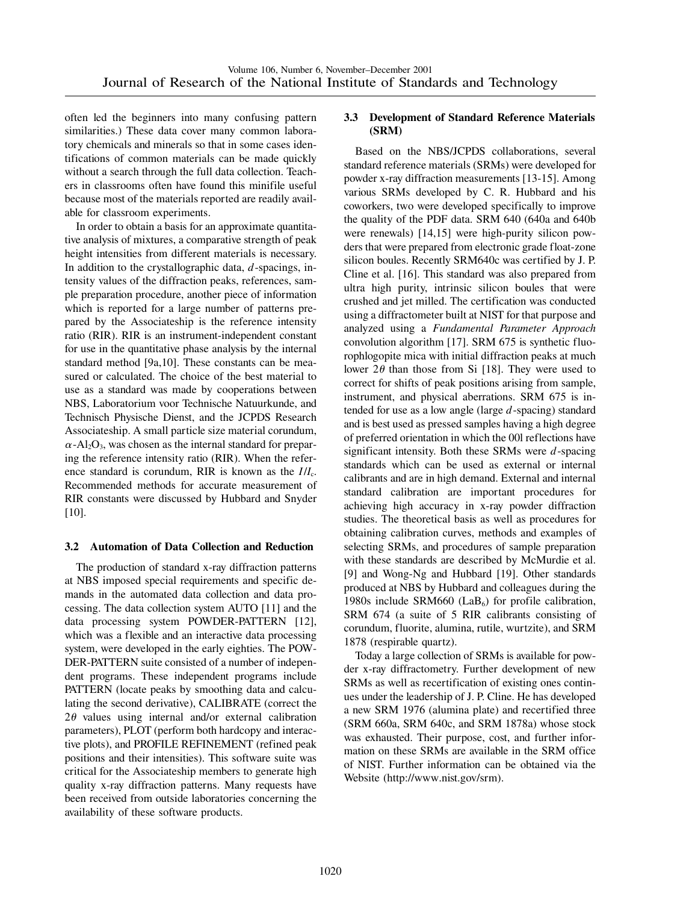often led the beginners into many confusing pattern similarities.) These data cover many common laboratory chemicals and minerals so that in some cases identifications of common materials can be made quickly without a search through the full data collection. Teachers in classrooms often have found this minifile useful because most of the materials reported are readily available for classroom experiments.

In order to obtain a basis for an approximate quantitative analysis of mixtures, a comparative strength of peak height intensities from different materials is necessary. In addition to the crystallographic data, *d*-spacings, intensity values of the diffraction peaks, references, sample preparation procedure, another piece of information which is reported for a large number of patterns prepared by the Associateship is the reference intensity ratio (RIR). RIR is an instrument-independent constant for use in the quantitative phase analysis by the internal standard method [9a,10]. These constants can be measured or calculated. The choice of the best material to use as a standard was made by cooperations between NBS, Laboratorium voor Technische Natuurkunde, and Technisch Physische Dienst, and the JCPDS Research Associateship. A small particle size material corundum,  $\alpha$ -Al<sub>2</sub>O<sub>3</sub>, was chosen as the internal standard for preparing the reference intensity ratio (RIR). When the reference standard is corundum, RIR is known as the *I*/*I*c. Recommended methods for accurate measurement of RIR constants were discussed by Hubbard and Snyder [10].

#### **3.2 Automation of Data Collection and Reduction**

The production of standard x-ray diffraction patterns at NBS imposed special requirements and specific demands in the automated data collection and data processing. The data collection system AUTO [11] and the data processing system POWDER-PATTERN [12], which was a flexible and an interactive data processing system, were developed in the early eighties. The POW-DER-PATTERN suite consisted of a number of independent programs. These independent programs include PATTERN (locate peaks by smoothing data and calculating the second derivative), CALIBRATE (correct the  $2\theta$  values using internal and/or external calibration parameters), PLOT (perform both hardcopy and interactive plots), and PROFILE REFINEMENT (refined peak positions and their intensities). This software suite was critical for the Associateship members to generate high quality x-ray diffraction patterns. Many requests have been received from outside laboratories concerning the availability of these software products.

#### **3.3 Development of Standard Reference Materials (SRM)**

Based on the NBS/JCPDS collaborations, several standard reference materials (SRMs) were developed for powder x-ray diffraction measurements [13-15]. Among various SRMs developed by C. R. Hubbard and his coworkers, two were developed specifically to improve the quality of the PDF data. SRM 640 (640a and 640b were renewals) [14,15] were high-purity silicon powders that were prepared from electronic grade float-zone silicon boules. Recently SRM640c was certified by J. P. Cline et al. [16]. This standard was also prepared from ultra high purity, intrinsic silicon boules that were crushed and jet milled. The certification was conducted using a diffractometer built at NIST for that purpose and analyzed using a *Fundamental Parameter Approach* convolution algorithm [17]. SRM 675 is synthetic fluorophlogopite mica with initial diffraction peaks at much lower  $2\theta$  than those from Si [18]. They were used to correct for shifts of peak positions arising from sample, instrument, and physical aberrations. SRM 675 is intended for use as a low angle (large *d*-spacing) standard and is best used as pressed samples having a high degree of preferred orientation in which the 00l reflections have significant intensity. Both these SRMs were *d*-spacing standards which can be used as external or internal calibrants and are in high demand. External and internal standard calibration are important procedures for achieving high accuracy in x-ray powder diffraction studies. The theoretical basis as well as procedures for obtaining calibration curves, methods and examples of selecting SRMs, and procedures of sample preparation with these standards are described by McMurdie et al. [9] and Wong-Ng and Hubbard [19]. Other standards produced at NBS by Hubbard and colleagues during the 1980s include SRM660 (LaB $_6$ ) for profile calibration, SRM 674 (a suite of 5 RIR calibrants consisting of corundum, fluorite, alumina, rutile, wurtzite), and SRM 1878 (respirable quartz).

Today a large collection of SRMs is available for powder x-ray diffractometry. Further development of new SRMs as well as recertification of existing ones continues under the leadership of J. P. Cline. He has developed a new SRM 1976 (alumina plate) and recertified three (SRM 660a, SRM 640c, and SRM 1878a) whose stock was exhausted. Their purpose, cost, and further information on these SRMs are available in the SRM office of NIST. Further information can be obtained via the Website (http://www.nist.gov/srm).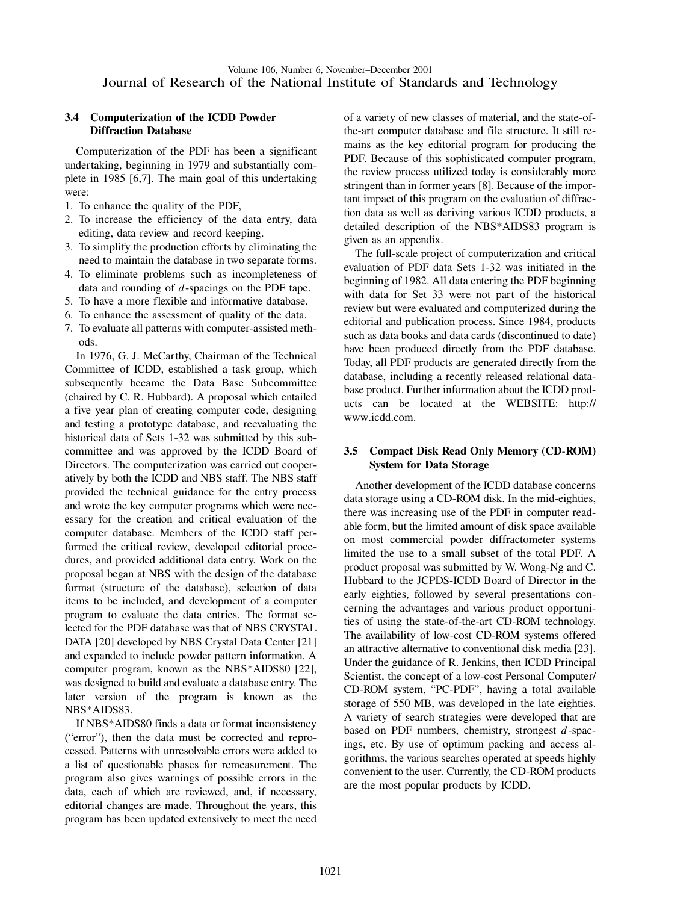#### **3.4 Computerization of the ICDD Powder Diffraction Database**

Computerization of the PDF has been a significant undertaking, beginning in 1979 and substantially complete in 1985 [6,7]. The main goal of this undertaking were:

- 1. To enhance the quality of the PDF,
- 2. To increase the efficiency of the data entry, data editing, data review and record keeping.
- 3. To simplify the production efforts by eliminating the need to maintain the database in two separate forms.
- 4. To eliminate problems such as incompleteness of data and rounding of *d*-spacings on the PDF tape.
- 5. To have a more flexible and informative database.
- 6. To enhance the assessment of quality of the data.
- 7. To evaluate all patterns with computer-assisted methods.

In 1976, G. J. McCarthy, Chairman of the Technical Committee of ICDD, established a task group, which subsequently became the Data Base Subcommittee (chaired by C. R. Hubbard). A proposal which entailed a five year plan of creating computer code, designing and testing a prototype database, and reevaluating the historical data of Sets 1-32 was submitted by this subcommittee and was approved by the ICDD Board of Directors. The computerization was carried out cooperatively by both the ICDD and NBS staff. The NBS staff provided the technical guidance for the entry process and wrote the key computer programs which were necessary for the creation and critical evaluation of the computer database. Members of the ICDD staff performed the critical review, developed editorial procedures, and provided additional data entry. Work on the proposal began at NBS with the design of the database format (structure of the database), selection of data items to be included, and development of a computer program to evaluate the data entries. The format selected for the PDF database was that of NBS CRYSTAL DATA [20] developed by NBS Crystal Data Center [21] and expanded to include powder pattern information. A computer program, known as the NBS\*AIDS80 [22], was designed to build and evaluate a database entry. The later version of the program is known as the NBS\*AIDS83.

If NBS\*AIDS80 finds a data or format inconsistency ("error"), then the data must be corrected and reprocessed. Patterns with unresolvable errors were added to a list of questionable phases for remeasurement. The program also gives warnings of possible errors in the data, each of which are reviewed, and, if necessary, editorial changes are made. Throughout the years, this program has been updated extensively to meet the need of a variety of new classes of material, and the state-ofthe-art computer database and file structure. It still remains as the key editorial program for producing the PDF. Because of this sophisticated computer program, the review process utilized today is considerably more stringent than in former years [8]. Because of the important impact of this program on the evaluation of diffraction data as well as deriving various ICDD products, a detailed description of the NBS\*AIDS83 program is given as an appendix.

The full-scale project of computerization and critical evaluation of PDF data Sets 1-32 was initiated in the beginning of 1982. All data entering the PDF beginning with data for Set 33 were not part of the historical review but were evaluated and computerized during the editorial and publication process. Since 1984, products such as data books and data cards (discontinued to date) have been produced directly from the PDF database. Today, all PDF products are generated directly from the database, including a recently released relational database product. Further information about the ICDD products can be located at the WEBSITE: http:// www.icdd.com.

## **3.5 Compact Disk Read Only Memory (CD-ROM) System for Data Storage**

Another development of the ICDD database concerns data storage using a CD-ROM disk. In the mid-eighties, there was increasing use of the PDF in computer readable form, but the limited amount of disk space available on most commercial powder diffractometer systems limited the use to a small subset of the total PDF. A product proposal was submitted by W. Wong-Ng and C. Hubbard to the JCPDS-ICDD Board of Director in the early eighties, followed by several presentations concerning the advantages and various product opportunities of using the state-of-the-art CD-ROM technology. The availability of low-cost CD-ROM systems offered an attractive alternative to conventional disk media [23]. Under the guidance of R. Jenkins, then ICDD Principal Scientist, the concept of a low-cost Personal Computer/ CD-ROM system, "PC-PDF", having a total available storage of 550 MB, was developed in the late eighties. A variety of search strategies were developed that are based on PDF numbers, chemistry, strongest *d*-spacings, etc. By use of optimum packing and access algorithms, the various searches operated at speeds highly convenient to the user. Currently, the CD-ROM products are the most popular products by ICDD.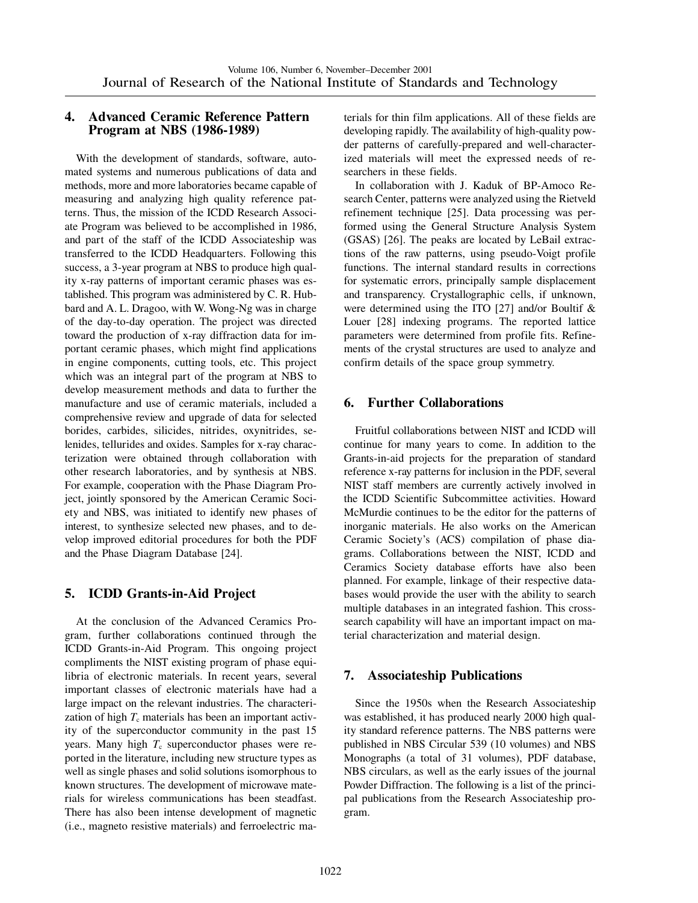## **4. Advanced Ceramic Reference Pattern Program at NBS (1986-1989)**

With the development of standards, software, automated systems and numerous publications of data and methods, more and more laboratories became capable of measuring and analyzing high quality reference patterns. Thus, the mission of the ICDD Research Associate Program was believed to be accomplished in 1986, and part of the staff of the ICDD Associateship was transferred to the ICDD Headquarters. Following this success, a 3-year program at NBS to produce high quality x-ray patterns of important ceramic phases was established. This program was administered by C. R. Hubbard and A. L. Dragoo, with W. Wong-Ng was in charge of the day-to-day operation. The project was directed toward the production of x-ray diffraction data for important ceramic phases, which might find applications in engine components, cutting tools, etc. This project which was an integral part of the program at NBS to develop measurement methods and data to further the manufacture and use of ceramic materials, included a comprehensive review and upgrade of data for selected borides, carbides, silicides, nitrides, oxynitrides, selenides, tellurides and oxides. Samples for x-ray characterization were obtained through collaboration with other research laboratories, and by synthesis at NBS. For example, cooperation with the Phase Diagram Project, jointly sponsored by the American Ceramic Society and NBS, was initiated to identify new phases of interest, to synthesize selected new phases, and to develop improved editorial procedures for both the PDF and the Phase Diagram Database [24].

# **5. ICDD Grants-in-Aid Project**

At the conclusion of the Advanced Ceramics Program, further collaborations continued through the ICDD Grants-in-Aid Program. This ongoing project compliments the NIST existing program of phase equilibria of electronic materials. In recent years, several important classes of electronic materials have had a large impact on the relevant industries. The characterization of high  $T_c$  materials has been an important activity of the superconductor community in the past 15 years. Many high  $T_c$  superconductor phases were reported in the literature, including new structure types as well as single phases and solid solutions isomorphous to known structures. The development of microwave materials for wireless communications has been steadfast. There has also been intense development of magnetic (i.e., magneto resistive materials) and ferroelectric materials for thin film applications. All of these fields are developing rapidly. The availability of high-quality powder patterns of carefully-prepared and well-characterized materials will meet the expressed needs of researchers in these fields.

In collaboration with J. Kaduk of BP-Amoco Research Center, patterns were analyzed using the Rietveld refinement technique [25]. Data processing was performed using the General Structure Analysis System (GSAS) [26]. The peaks are located by LeBail extractions of the raw patterns, using pseudo-Voigt profile functions. The internal standard results in corrections for systematic errors, principally sample displacement and transparency. Crystallographic cells, if unknown, were determined using the ITO [27] and/or Boultif  $\&$ Louer [28] indexing programs. The reported lattice parameters were determined from profile fits. Refinements of the crystal structures are used to analyze and confirm details of the space group symmetry.

# **6. Further Collaborations**

Fruitful collaborations between NIST and ICDD will continue for many years to come. In addition to the Grants-in-aid projects for the preparation of standard reference x-ray patterns for inclusion in the PDF, several NIST staff members are currently actively involved in the ICDD Scientific Subcommittee activities. Howard McMurdie continues to be the editor for the patterns of inorganic materials. He also works on the American Ceramic Society's (ACS) compilation of phase diagrams. Collaborations between the NIST, ICDD and Ceramics Society database efforts have also been planned. For example, linkage of their respective databases would provide the user with the ability to search multiple databases in an integrated fashion. This crosssearch capability will have an important impact on material characterization and material design.

# **7. Associateship Publications**

Since the 1950s when the Research Associateship was established, it has produced nearly 2000 high quality standard reference patterns. The NBS patterns were published in NBS Circular 539 (10 volumes) and NBS Monographs (a total of 31 volumes), PDF database, NBS circulars, as well as the early issues of the journal Powder Diffraction. The following is a list of the principal publications from the Research Associateship program.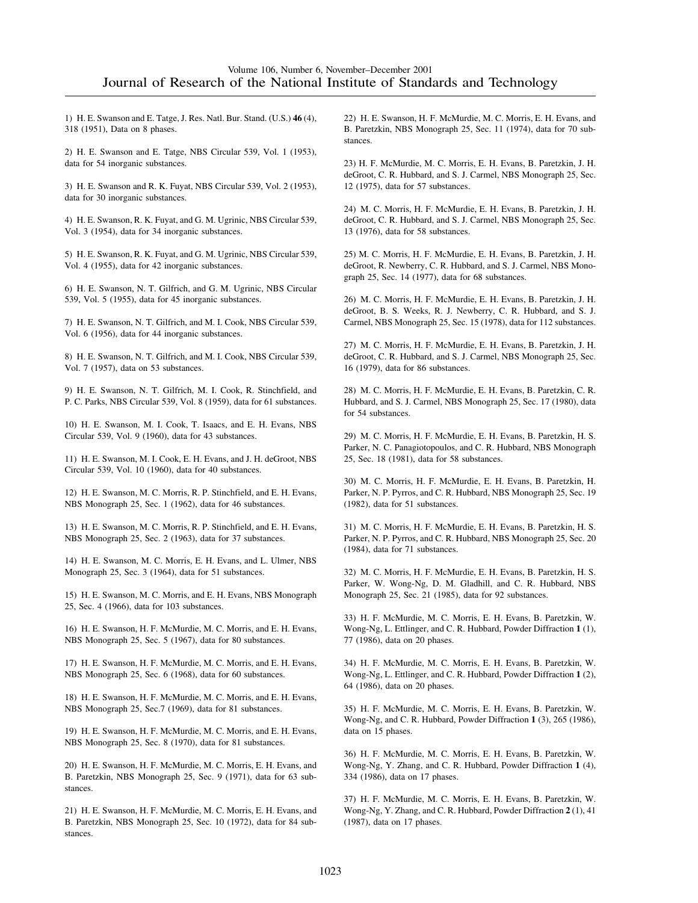1) H. E. Swanson and E. Tatge, J. Res. Natl. Bur. Stand. (U.S.) **46** (4), 318 (1951), Data on 8 phases.

2) H. E. Swanson and E. Tatge, NBS Circular 539, Vol. 1 (1953), data for 54 inorganic substances.

3) H. E. Swanson and R. K. Fuyat, NBS Circular 539, Vol. 2 (1953), data for 30 inorganic substances.

4) H. E. Swanson, R. K. Fuyat, and G. M. Ugrinic, NBS Circular 539, Vol. 3 (1954), data for 34 inorganic substances.

5) H. E. Swanson, R. K. Fuyat, and G. M. Ugrinic, NBS Circular 539, Vol. 4 (1955), data for 42 inorganic substances.

6) H. E. Swanson, N. T. Gilfrich, and G. M. Ugrinic, NBS Circular 539, Vol. 5 (1955), data for 45 inorganic substances.

7) H. E. Swanson, N. T. Gilfrich, and M. I. Cook, NBS Circular 539, Vol. 6 (1956), data for 44 inorganic substances.

8) H. E. Swanson, N. T. Gilfrich, and M. I. Cook, NBS Circular 539, Vol. 7 (1957), data on 53 substances.

9) H. E. Swanson, N. T. Gilfrich, M. I. Cook, R. Stinchfield, and P. C. Parks, NBS Circular 539, Vol. 8 (1959), data for 61 substances.

10) H. E. Swanson, M. I. Cook, T. Isaacs, and E. H. Evans, NBS Circular 539, Vol. 9 (1960), data for 43 substances.

11) H. E. Swanson, M. I. Cook, E. H. Evans, and J. H. deGroot, NBS Circular 539, Vol. 10 (1960), data for 40 substances.

12) H. E. Swanson, M. C. Morris, R. P. Stinchfield, and E. H. Evans, NBS Monograph 25, Sec. 1 (1962), data for 46 substances.

13) H. E. Swanson, M. C. Morris, R. P. Stinchfield, and E. H. Evans, NBS Monograph 25, Sec. 2 (1963), data for 37 substances.

14) H. E. Swanson, M. C. Morris, E. H. Evans, and L. Ulmer, NBS Monograph 25, Sec. 3 (1964), data for 51 substances.

15) H. E. Swanson, M. C. Morris, and E. H. Evans, NBS Monograph 25, Sec. 4 (1966), data for 103 substances.

16) H. E. Swanson, H. F. McMurdie, M. C. Morris, and E. H. Evans, NBS Monograph 25, Sec. 5 (1967), data for 80 substances.

17) H. E. Swanson, H. F. McMurdie, M. C. Morris, and E. H. Evans, NBS Monograph 25, Sec. 6 (1968), data for 60 substances.

18) H. E. Swanson, H. F. McMurdie, M. C. Morris, and E. H. Evans, NBS Monograph 25, Sec.7 (1969), data for 81 substances.

19) H. E. Swanson, H. F. McMurdie, M. C. Morris, and E. H. Evans, NBS Monograph 25, Sec. 8 (1970), data for 81 substances.

20) H. E. Swanson, H. F. McMurdie, M. C. Morris, E. H. Evans, and B. Paretzkin, NBS Monograph 25, Sec. 9 (1971), data for 63 substances.

21) H. E. Swanson, H. F. McMurdie, M. C. Morris, E. H. Evans, and B. Paretzkin, NBS Monograph 25, Sec. 10 (1972), data for 84 substances.

22) H. E. Swanson, H. F. McMurdie, M. C. Morris, E. H. Evans, and B. Paretzkin, NBS Monograph 25, Sec. 11 (1974), data for 70 substances.

23) H. F. McMurdie, M. C. Morris, E. H. Evans, B. Paretzkin, J. H. deGroot, C. R. Hubbard, and S. J. Carmel, NBS Monograph 25, Sec. 12 (1975), data for 57 substances.

24) M. C. Morris, H. F. McMurdie, E. H. Evans, B. Paretzkin, J. H. deGroot, C. R. Hubbard, and S. J. Carmel, NBS Monograph 25, Sec. 13 (1976), data for 58 substances.

25) M. C. Morris, H. F. McMurdie, E. H. Evans, B. Paretzkin, J. H. deGroot, R. Newberry, C. R. Hubbard, and S. J. Carmel, NBS Monograph 25, Sec. 14 (1977), data for 68 substances.

26) M. C. Morris, H. F. McMurdie, E. H. Evans, B. Paretzkin, J. H. deGroot, B. S. Weeks, R. J. Newberry, C. R. Hubbard, and S. J. Carmel, NBS Monograph 25, Sec. 15 (1978), data for 112 substances.

27) M. C. Morris, H. F. McMurdie, E. H. Evans, B. Paretzkin, J. H. deGroot, C. R. Hubbard, and S. J. Carmel, NBS Monograph 25, Sec. 16 (1979), data for 86 substances.

28) M. C. Morris, H. F. McMurdie, E. H. Evans, B. Paretzkin, C. R. Hubbard, and S. J. Carmel, NBS Monograph 25, Sec. 17 (1980), data for 54 substances.

29) M. C. Morris, H. F. McMurdie, E. H. Evans, B. Paretzkin, H. S. Parker, N. C. Panagiotopoulos, and C. R. Hubbard, NBS Monograph 25, Sec. 18 (1981), data for 58 substances.

30) M. C. Morris, H. F. McMurdie, E. H. Evans, B. Paretzkin, H. Parker, N. P. Pyrros, and C. R. Hubbard, NBS Monograph 25, Sec. 19 (1982), data for 51 substances.

31) M. C. Morris, H. F. McMurdie, E. H. Evans, B. Paretzkin, H. S. Parker, N. P. Pyrros, and C. R. Hubbard, NBS Monograph 25, Sec. 20 (1984), data for 71 substances.

32) M. C. Morris, H. F. McMurdie, E. H. Evans, B. Paretzkin, H. S. Parker, W. Wong-Ng, D. M. Gladhill, and C. R. Hubbard, NBS Monograph 25, Sec. 21 (1985), data for 92 substances.

33) H. F. McMurdie, M. C. Morris, E. H. Evans, B. Paretzkin, W. Wong-Ng, L. Ettlinger, and C. R. Hubbard, Powder Diffraction **1** (1), 77 (1986), data on 20 phases.

34) H. F. McMurdie, M. C. Morris, E. H. Evans, B. Paretzkin, W. Wong-Ng, L. Ettlinger, and C. R. Hubbard, Powder Diffraction **1** (2), 64 (1986), data on 20 phases.

35) H. F. McMurdie, M. C. Morris, E. H. Evans, B. Paretzkin, W. Wong-Ng, and C. R. Hubbard, Powder Diffraction **1** (3), 265 (1986), data on 15 phases.

36) H. F. McMurdie, M. C. Morris, E. H. Evans, B. Paretzkin, W. Wong-Ng, Y. Zhang, and C. R. Hubbard, Powder Diffraction **1** (4), 334 (1986), data on 17 phases.

37) H. F. McMurdie, M. C. Morris, E. H. Evans, B. Paretzkin, W. Wong-Ng, Y. Zhang, and C. R. Hubbard, Powder Diffraction **2** (1), 41 (1987), data on 17 phases.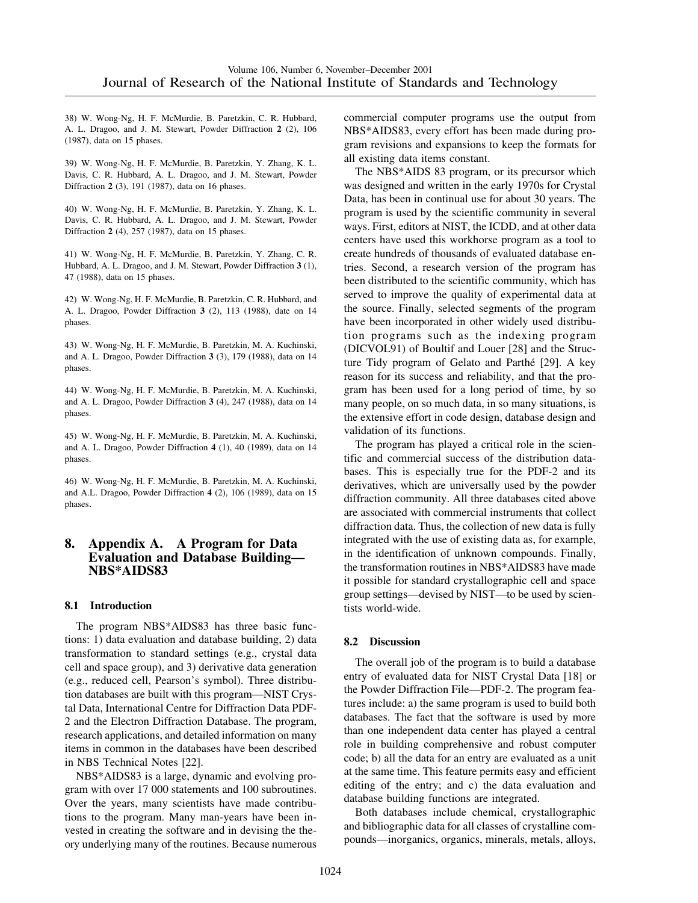38) W. Wong-Ng, H. F. McMurdie, B. Paretzkin, C. R. Hubbard, A. L. Dragoo, and J. M. Stewart, Powder Diffraction **2** (2), 106 (1987), data on 15 phases.

39) W. Wong-Ng, H. F. McMurdie, B. Paretzkin, Y. Zhang, K. L. Davis, C. R. Hubbard, A. L. Dragoo, and J. M. Stewart, Powder Diffraction **2** (3), 191 (1987), data on 16 phases.

40) W. Wong-Ng, H. F. McMurdie, B. Paretzkin, Y. Zhang, K. L. Davis, C. R. Hubbard, A. L. Dragoo, and J. M. Stewart, Powder Diffraction **2** (4), 257 (1987), data on 15 phases.

41) W. Wong-Ng, H. F. McMurdie, B. Paretzkin, Y. Zhang, C. R. Hubbard, A. L. Dragoo, and J. M. Stewart, Powder Diffraction **3** (1), 47 (1988), data on 15 phases.

42) W. Wong-Ng, H. F. McMurdie, B. Paretzkin, C. R. Hubbard, and A. L. Dragoo, Powder Diffraction **3** (2), 113 (1988), date on 14 phases.

43) W. Wong-Ng, H. F. McMurdie, B. Paretzkin, M. A. Kuchinski, and A. L. Dragoo, Powder Diffraction **3** (3), 179 (1988), data on 14 phases.

44) W. Wong-Ng, H. F. McMurdie, B. Paretzkin, M. A. Kuchinski, and A. L. Dragoo, Powder Diffraction **3** (4), 247 (1988), data on 14 phases.

45) W. Wong-Ng, H. F. McMurdie, B. Paretzkin, M. A. Kuchinski, and A. L. Dragoo, Powder Diffraction **4** (1), 40 (1989), data on 14 phases.

46) W. Wong-Ng, H. F. McMurdie, B. Paretzkin, M. A. Kuchinski, and A.L. Dragoo, Powder Diffraction **4** (2), 106 (1989), data on 15 phases.

#### **8. Appendix A. A Program for Data Evaluation and Database Building— NBS\*AIDS83**

#### **8.1 Introduction**

The program NBS\*AIDS83 has three basic functions: 1) data evaluation and database building, 2) data transformation to standard settings (e.g., crystal data cell and space group), and 3) derivative data generation (e.g., reduced cell, Pearson's symbol). Three distribution databases are built with this program—NIST Crystal Data, International Centre for Diffraction Data PDF-2 and the Electron Diffraction Database. The program, research applications, and detailed information on many items in common in the databases have been described in NBS Technical Notes [22].

NBS\*AIDS83 is a large, dynamic and evolving program with over 17 000 statements and 100 subroutines. Over the years, many scientists have made contributions to the program. Many man-years have been invested in creating the software and in devising the theory underlying many of the routines. Because numerous commercial computer programs use the output from NBS\*AIDS83, every effort has been made during program revisions and expansions to keep the formats for all existing data items constant.

The NBS\*AIDS 83 program, or its precursor which was designed and written in the early 1970s for Crystal Data, has been in continual use for about 30 years. The program is used by the scientific community in several ways. First, editors at NIST, the ICDD, and at other data centers have used this workhorse program as a tool to create hundreds of thousands of evaluated database entries. Second, a research version of the program has been distributed to the scientific community, which has served to improve the quality of experimental data at the source. Finally, selected segments of the program have been incorporated in other widely used distribution programs such as the indexing program (DICVOL91) of Boultif and Louer [28] and the Structure Tidy program of Gelato and Parthé [29]. A key reason for its success and reliability, and that the program has been used for a long period of time, by so many people, on so much data, in so many situations, is the extensive effort in code design, database design and validation of its functions.

The program has played a critical role in the scientific and commercial success of the distribution databases. This is especially true for the PDF-2 and its derivatives, which are universally used by the powder diffraction community. All three databases cited above are associated with commercial instruments that collect diffraction data. Thus, the collection of new data is fully integrated with the use of existing data as, for example, in the identification of unknown compounds. Finally, the transformation routines in NBS\*AIDS83 have made it possible for standard crystallographic cell and space group settings—devised by NIST—to be used by scientists world-wide.

#### **8.2 Discussion**

The overall job of the program is to build a database entry of evaluated data for NIST Crystal Data [18] or the Powder Diffraction File—PDF-2. The program features include: a) the same program is used to build both databases. The fact that the software is used by more than one independent data center has played a central role in building comprehensive and robust computer code; b) all the data for an entry are evaluated as a unit at the same time. This feature permits easy and efficient editing of the entry; and c) the data evaluation and database building functions are integrated.

Both databases include chemical, crystallographic and bibliographic data for all classes of crystalline compounds—inorganics, organics, minerals, metals, alloys,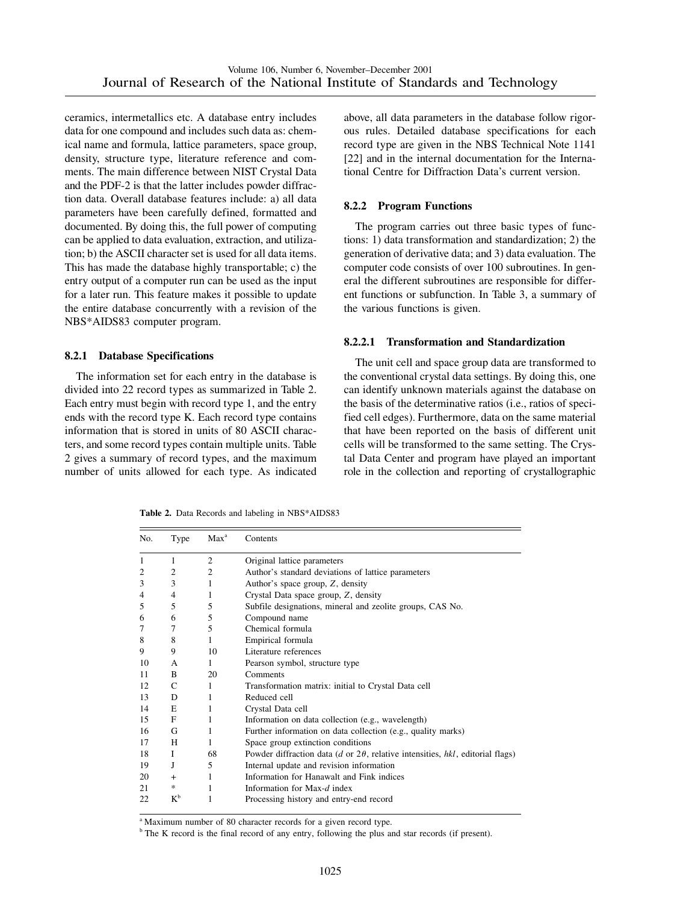ceramics, intermetallics etc. A database entry includes data for one compound and includes such data as: chemical name and formula, lattice parameters, space group, density, structure type, literature reference and comments. The main difference between NIST Crystal Data and the PDF-2 is that the latter includes powder diffraction data. Overall database features include: a) all data parameters have been carefully defined, formatted and documented. By doing this, the full power of computing can be applied to data evaluation, extraction, and utilization; b) the ASCII character set is used for all data items. This has made the database highly transportable; c) the entry output of a computer run can be used as the input for a later run. This feature makes it possible to update the entire database concurrently with a revision of the NBS\*AIDS83 computer program.

#### **8.2.1 Database Specifications**

The information set for each entry in the database is divided into 22 record types as summarized in Table 2. Each entry must begin with record type 1, and the entry ends with the record type K. Each record type contains information that is stored in units of 80 ASCII characters, and some record types contain multiple units. Table 2 gives a summary of record types, and the maximum number of units allowed for each type. As indicated above, all data parameters in the database follow rigorous rules. Detailed database specifications for each record type are given in the NBS Technical Note 1141 [22] and in the internal documentation for the International Centre for Diffraction Data's current version.

#### **8.2.2 Program Functions**

The program carries out three basic types of functions: 1) data transformation and standardization; 2) the generation of derivative data; and 3) data evaluation. The computer code consists of over 100 subroutines. In general the different subroutines are responsible for different functions or subfunction. In Table 3, a summary of the various functions is given.

## **8.2.2.1 Transformation and Standardization**

The unit cell and space group data are transformed to the conventional crystal data settings. By doing this, one can identify unknown materials against the database on the basis of the determinative ratios (i.e., ratios of specified cell edges). Furthermore, data on the same material that have been reported on the basis of different unit cells will be transformed to the same setting. The Crystal Data Center and program have played an important role in the collection and reporting of crystallographic

**Table 2.** Data Records and labeling in NBS\*AIDS83

| No.            | Type   | Max <sup>a</sup> | Contents                                                                              |
|----------------|--------|------------------|---------------------------------------------------------------------------------------|
| 1              | 1      | 2                | Original lattice parameters                                                           |
| $\overline{2}$ | 2      | 2                | Author's standard deviations of lattice parameters                                    |
| 3              | 3      | 1                | Author's space group, Z, density                                                      |
| 4              | 4      | 1                | Crystal Data space group, Z, density                                                  |
| 5              | 5      | 5                | Subfile designations, mineral and zeolite groups, CAS No.                             |
| 6              | 6      | 5                | Compound name                                                                         |
| 7              | 7      | 5                | Chemical formula                                                                      |
| 8              | 8      | 1                | Empirical formula                                                                     |
| 9              | 9      | 10               | Literature references                                                                 |
| 10             | A      | 1                | Pearson symbol, structure type                                                        |
| 11             | B      | 20               | Comments                                                                              |
| 12             | C      | 1                | Transformation matrix: initial to Crystal Data cell                                   |
| 13             | D      | 1                | Reduced cell                                                                          |
| 14             | E      | 1                | Crystal Data cell                                                                     |
| 15             | F      | 1                | Information on data collection (e.g., wavelength)                                     |
| 16             | G      | 1                | Further information on data collection (e.g., quality marks)                          |
| 17             | H      | 1                | Space group extinction conditions                                                     |
| 18             | I      | 68               | Powder diffraction data (d or $2\theta$ , relative intensities, hkl, editorial flags) |
| 19             | J      | 5                | Internal update and revision information                                              |
| 20             | $+$    | 1                | Information for Hanawalt and Fink indices                                             |
| 21             | $\ast$ | 1                | Information for Max-d index                                                           |
| 22             | $K^b$  | 1                | Processing history and entry-end record                                               |

<sup>a</sup> Maximum number of 80 character records for a given record type.

<sup>b</sup> The K record is the final record of any entry, following the plus and star records (if present).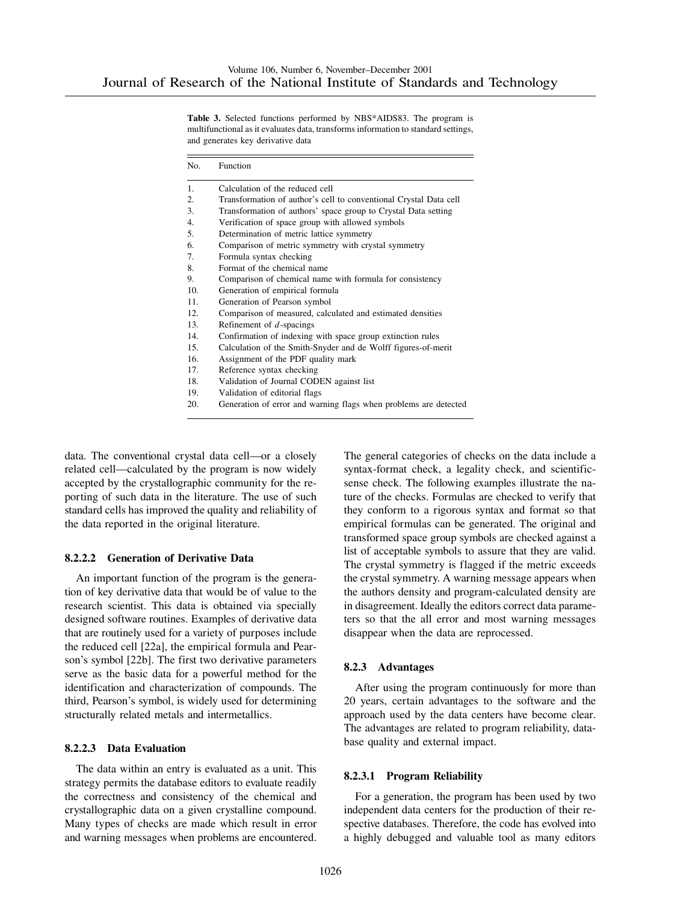**Table 3.** Selected functions performed by NBS\*AIDS83. The program is multifunctional as it evaluates data, transforms information to standard settings, and generates key derivative data

| No. | Function                                                          |
|-----|-------------------------------------------------------------------|
| 1.  | Calculation of the reduced cell                                   |
| 2.  | Transformation of author's cell to conventional Crystal Data cell |
| 3.  | Transformation of authors' space group to Crystal Data setting    |
| 4.  | Verification of space group with allowed symbols                  |
| 5.  | Determination of metric lattice symmetry                          |
| 6.  | Comparison of metric symmetry with crystal symmetry               |
| 7.  | Formula syntax checking                                           |
| 8.  | Format of the chemical name                                       |
| 9.  | Comparison of chemical name with formula for consistency          |
| 10. | Generation of empirical formula                                   |
| 11. | Generation of Pearson symbol                                      |
| 12. | Comparison of measured, calculated and estimated densities        |
| 13. | Refinement of $d$ -spacings                                       |
| 14. | Confirmation of indexing with space group extinction rules        |
| 15. | Calculation of the Smith-Snyder and de Wolff figures-of-merit     |
| 16. | Assignment of the PDF quality mark                                |
| 17. | Reference syntax checking                                         |
| 18. | Validation of Journal CODEN against list                          |
| 19. | Validation of editorial flags                                     |
| 20. | Generation of error and warning flags when problems are detected  |

data. The conventional crystal data cell—or a closely related cell—calculated by the program is now widely accepted by the crystallographic community for the reporting of such data in the literature. The use of such standard cells has improved the quality and reliability of the data reported in the original literature.

#### **8.2.2.2 Generation of Derivative Data**

An important function of the program is the generation of key derivative data that would be of value to the research scientist. This data is obtained via specially designed software routines. Examples of derivative data that are routinely used for a variety of purposes include the reduced cell [22a], the empirical formula and Pearson's symbol [22b]. The first two derivative parameters serve as the basic data for a powerful method for the identification and characterization of compounds. The third, Pearson's symbol, is widely used for determining structurally related metals and intermetallics.

#### **8.2.2.3 Data Evaluation**

The data within an entry is evaluated as a unit. This strategy permits the database editors to evaluate readily the correctness and consistency of the chemical and crystallographic data on a given crystalline compound. Many types of checks are made which result in error and warning messages when problems are encountered.

The general categories of checks on the data include a syntax-format check, a legality check, and scientificsense check. The following examples illustrate the nature of the checks. Formulas are checked to verify that they conform to a rigorous syntax and format so that empirical formulas can be generated. The original and transformed space group symbols are checked against a list of acceptable symbols to assure that they are valid. The crystal symmetry is flagged if the metric exceeds the crystal symmetry. A warning message appears when the authors density and program-calculated density are in disagreement. Ideally the editors correct data parameters so that the all error and most warning messages disappear when the data are reprocessed.

#### **8.2.3 Advantages**

After using the program continuously for more than 20 years, certain advantages to the software and the approach used by the data centers have become clear. The advantages are related to program reliability, database quality and external impact.

#### **8.2.3.1 Program Reliability**

For a generation, the program has been used by two independent data centers for the production of their respective databases. Therefore, the code has evolved into a highly debugged and valuable tool as many editors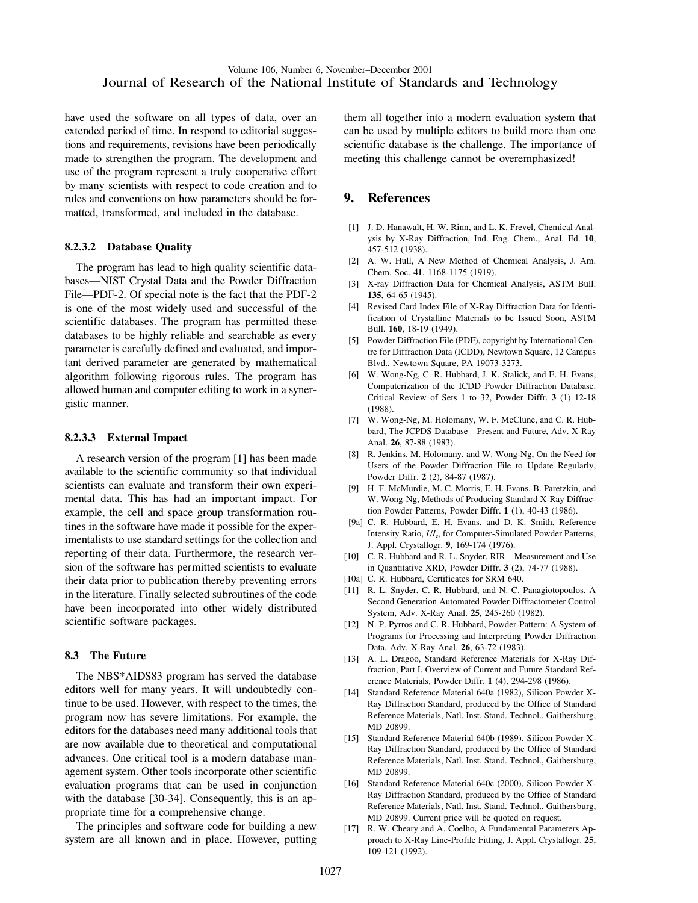have used the software on all types of data, over an extended period of time. In respond to editorial suggestions and requirements, revisions have been periodically made to strengthen the program. The development and use of the program represent a truly cooperative effort by many scientists with respect to code creation and to rules and conventions on how parameters should be formatted, transformed, and included in the database.

#### **8.2.3.2 Database Quality**

The program has lead to high quality scientific databases—NIST Crystal Data and the Powder Diffraction File—PDF-2. Of special note is the fact that the PDF-2 is one of the most widely used and successful of the scientific databases. The program has permitted these databases to be highly reliable and searchable as every parameter is carefully defined and evaluated, and important derived parameter are generated by mathematical algorithm following rigorous rules. The program has allowed human and computer editing to work in a synergistic manner.

#### **8.2.3.3 External Impact**

A research version of the program [1] has been made available to the scientific community so that individual scientists can evaluate and transform their own experimental data. This has had an important impact. For example, the cell and space group transformation routines in the software have made it possible for the experimentalists to use standard settings for the collection and reporting of their data. Furthermore, the research version of the software has permitted scientists to evaluate their data prior to publication thereby preventing errors in the literature. Finally selected subroutines of the code have been incorporated into other widely distributed scientific software packages.

#### **8.3 The Future**

The NBS\*AIDS83 program has served the database editors well for many years. It will undoubtedly continue to be used. However, with respect to the times, the program now has severe limitations. For example, the editors for the databases need many additional tools that are now available due to theoretical and computational advances. One critical tool is a modern database management system. Other tools incorporate other scientific evaluation programs that can be used in conjunction with the database [30-34]. Consequently, this is an appropriate time for a comprehensive change.

The principles and software code for building a new system are all known and in place. However, putting them all together into a modern evaluation system that can be used by multiple editors to build more than one scientific database is the challenge. The importance of meeting this challenge cannot be overemphasized!

# **9. References**

- [1] J. D. Hanawalt, H. W. Rinn, and L. K. Frevel, Chemical Analysis by X-Ray Diffraction, Ind. Eng. Chem., Anal. Ed. **10**, 457-512 (1938).
- [2] A. W. Hull, A New Method of Chemical Analysis, J. Am. Chem. Soc. **41**, 1168-1175 (1919).
- [3] X-ray Diffraction Data for Chemical Analysis, ASTM Bull. **135**, 64-65 (1945).
- [4] Revised Card Index File of X-Ray Diffraction Data for Identification of Crystalline Materials to be Issued Soon, ASTM Bull. **160**, 18-19 (1949).
- [5] Powder Diffraction File (PDF), copyright by International Centre for Diffraction Data (ICDD), Newtown Square, 12 Campus Blvd., Newtown Square, PA 19073-3273.
- [6] W. Wong-Ng, C. R. Hubbard, J. K. Stalick, and E. H. Evans, Computerization of the ICDD Powder Diffraction Database. Critical Review of Sets 1 to 32, Powder Diffr. **3** (1) 12-18 (1988).
- [7] W. Wong-Ng, M. Holomany, W. F. McClune, and C. R. Hubbard, The JCPDS Database—Present and Future, Adv. X-Ray Anal. **26**, 87-88 (1983).
- [8] R. Jenkins, M. Holomany, and W. Wong-Ng, On the Need for Users of the Powder Diffraction File to Update Regularly, Powder Diffr. **2** (2), 84-87 (1987).
- [9] H. F. McMurdie, M. C. Morris, E. H. Evans, B. Paretzkin, and W. Wong-Ng, Methods of Producing Standard X-Ray Diffraction Powder Patterns, Powder Diffr. **1** (1), 40-43 (1986).
- [9a] C. R. Hubbard, E. H. Evans, and D. K. Smith, Reference Intensity Ratio, *I*/*I*c, for Computer-Simulated Powder Patterns, J. Appl. Crystallogr. **9**, 169-174 (1976).
- [10] C. R. Hubbard and R. L. Snyder, RIR-Measurement and Use in Quantitative XRD, Powder Diffr. **3** (2), 74-77 (1988).
- [10a] C. R. Hubbard, Certificates for SRM 640.
- [11] R. L. Snyder, C. R. Hubbard, and N. C. Panagiotopoulos, A Second Generation Automated Powder Diffractometer Control System, Adv. X-Ray Anal. **25**, 245-260 (1982).
- [12] N. P. Pyrros and C. R. Hubbard, Powder-Pattern: A System of Programs for Processing and Interpreting Powder Diffraction Data, Adv. X-Ray Anal. **26**, 63-72 (1983).
- [13] A. L. Dragoo, Standard Reference Materials for X-Ray Diffraction, Part I. Overview of Current and Future Standard Reference Materials, Powder Diffr. **1** (4), 294-298 (1986).
- [14] Standard Reference Material 640a (1982), Silicon Powder X-Ray Diffraction Standard, produced by the Office of Standard Reference Materials, Natl. Inst. Stand. Technol., Gaithersburg, MD 20899.
- [15] Standard Reference Material 640b (1989), Silicon Powder X-Ray Diffraction Standard, produced by the Office of Standard Reference Materials, Natl. Inst. Stand. Technol., Gaithersburg, MD 20899.
- [16] Standard Reference Material 640c (2000), Silicon Powder X-Ray Diffraction Standard, produced by the Office of Standard Reference Materials, Natl. Inst. Stand. Technol., Gaithersburg, MD 20899. Current price will be quoted on request.
- [17] R. W. Cheary and A. Coelho, A Fundamental Parameters Approach to X-Ray Line-Profile Fitting, J. Appl. Crystallogr. **25**, 109-121 (1992).